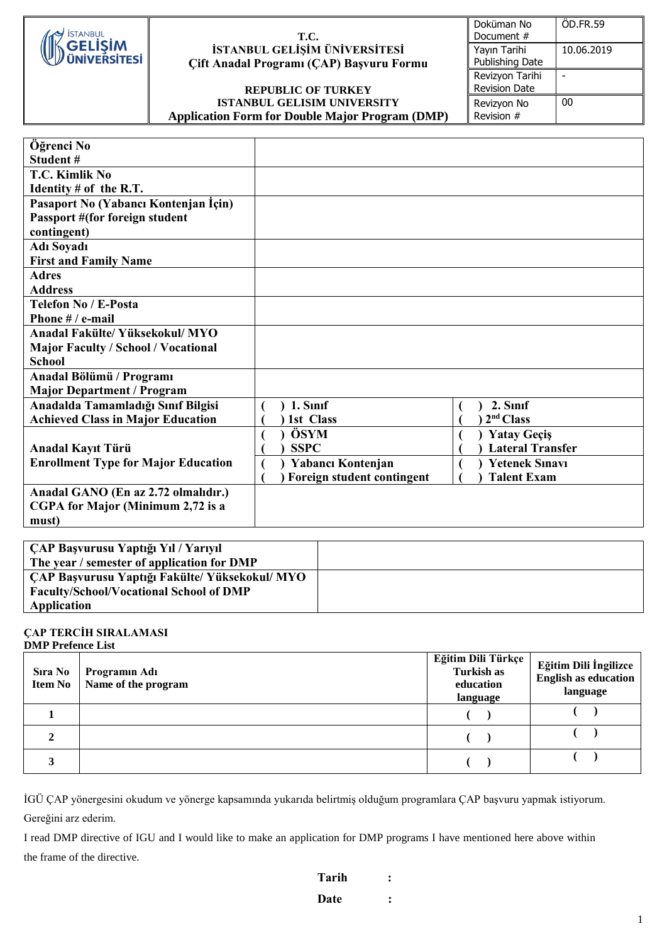

### **T.C. İSTANBUL GELİŞİM ÜNİVERSİTESİ Çift Anadal Programı (ÇAP) Başvuru Formu**

## **REPUBLIC OF TURKEY ISTANBUL GELISIM UNIVERSITY Application Form for Double Major Program (DMP)**

| Doküman No           | ÖD.FR.59   |
|----------------------|------------|
| Document #           |            |
| Yayın Tarihi         | 10.06.2019 |
| Publishing Date      |            |
| Revizyon Tarihi      |            |
| <b>Revision Date</b> |            |
| Revizyon No          | 00         |
| Revision #           |            |

| Öğrenci No                                 |                            |                         |
|--------------------------------------------|----------------------------|-------------------------|
| Student#                                   |                            |                         |
| T.C. Kimlik No                             |                            |                         |
| Identity $#$ of the R.T.                   |                            |                         |
| Pasaport No (Yabancı Kontenjan İçin)       |                            |                         |
| Passport #(for foreign student             |                            |                         |
| contingent)                                |                            |                         |
| <b>Adı Soyadı</b>                          |                            |                         |
| <b>First and Family Name</b>               |                            |                         |
| <b>Adres</b>                               |                            |                         |
| <b>Address</b>                             |                            |                         |
| <b>Telefon No / E-Posta</b>                |                            |                         |
| Phone # / e-mail                           |                            |                         |
| Anadal Fakülte/ Yüksekokul/ MYO            |                            |                         |
| <b>Major Faculty / School / Vocational</b> |                            |                         |
| <b>School</b>                              |                            |                         |
| Anadal Bölümü / Programı                   |                            |                         |
| <b>Major Department / Program</b>          |                            |                         |
| Anadalda Tamamladığı Sınıf Bilgisi         | 1. Sinif                   | 2. Sinif                |
| <b>Achieved Class in Major Education</b>   | 1st Class                  | 2 <sup>nd</sup> Class   |
|                                            | ÖSYM                       | <b>Yatay Geçiş</b>      |
| Anadal Kayıt Türü                          | <b>SSPC</b>                | <b>Lateral Transfer</b> |
| <b>Enrollment Type for Major Education</b> | Yabancı Kontenjan          | <b>Yetenek Sinavi</b>   |
|                                            | Foreign student contingent | <b>Talent Exam</b>      |
| Anadal GANO (En az 2.72 olmalıdır.)        |                            |                         |
| CGPA for Major (Minimum 2,72 is a          |                            |                         |
| must)                                      |                            |                         |

| CAP Başvurusu Yaptığı Yıl / Yarıyıl            |  |
|------------------------------------------------|--|
| The year / semester of application for DMP     |  |
| CAP Başvurusu Yaptığı Fakülte/Yüksekokul/MYO   |  |
| <b>Faculty/School/Vocational School of DMP</b> |  |
| Application                                    |  |

#### **ÇAP TERCİH SIRALAMASI DMP Prefence List**

| <b>Sıra No</b><br><b>Item No</b> | Programın Adı<br>Name of the program | Eğitim Dili Türkçe<br>Turkish as<br>education<br>language | Eğitim Dili İngilizce<br><b>English as education</b><br>language |
|----------------------------------|--------------------------------------|-----------------------------------------------------------|------------------------------------------------------------------|
|                                  |                                      |                                                           |                                                                  |
|                                  |                                      |                                                           |                                                                  |
|                                  |                                      |                                                           |                                                                  |

İGÜ ÇAP yönergesini okudum ve yönerge kapsamında yukarıda belirtmiş olduğum programlara ÇAP başvuru yapmak istiyorum. Gereğini arz ederim.

I read DMP directive of IGU and I would like to make an application for DMP programs I have mentioned here above within the frame of the directive.

**Tarih : Date :**